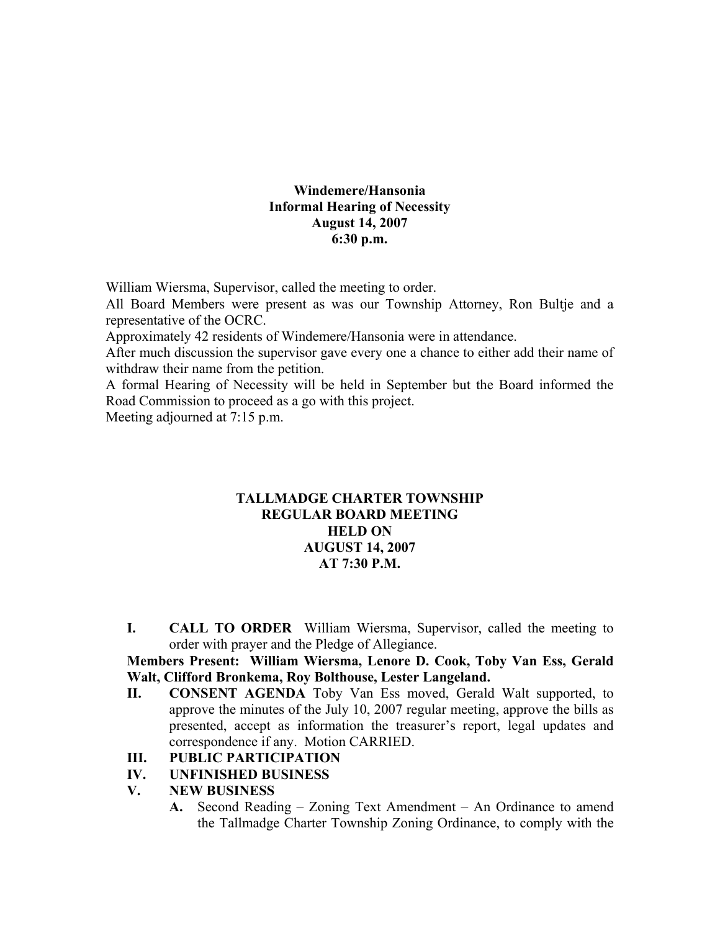#### **Windemere/Hansonia Informal Hearing of Necessity August 14, 2007 6:30 p.m.**

William Wiersma, Supervisor, called the meeting to order.

All Board Members were present as was our Township Attorney, Ron Bultje and a representative of the OCRC.

Approximately 42 residents of Windemere/Hansonia were in attendance.

After much discussion the supervisor gave every one a chance to either add their name of withdraw their name from the petition.

A formal Hearing of Necessity will be held in September but the Board informed the Road Commission to proceed as a go with this project.

Meeting adjourned at 7:15 p.m.

#### **TALLMADGE CHARTER TOWNSHIP REGULAR BOARD MEETING HELD ON AUGUST 14, 2007 AT 7:30 P.M.**

**I. CALL TO ORDER** William Wiersma, Supervisor, called the meeting to order with prayer and the Pledge of Allegiance.

#### **Members Present: William Wiersma, Lenore D. Cook, Toby Van Ess, Gerald Walt, Clifford Bronkema, Roy Bolthouse, Lester Langeland.**

- **II. CONSENT AGENDA** Toby Van Ess moved, Gerald Walt supported, to approve the minutes of the July 10, 2007 regular meeting, approve the bills as presented, accept as information the treasurer's report, legal updates and correspondence if any. Motion CARRIED.
- **III. PUBLIC PARTICIPATION**
- **IV. UNFINISHED BUSINESS**
- **V. NEW BUSINESS** 
	- **A.** Second Reading Zoning Text Amendment An Ordinance to amend the Tallmadge Charter Township Zoning Ordinance, to comply with the